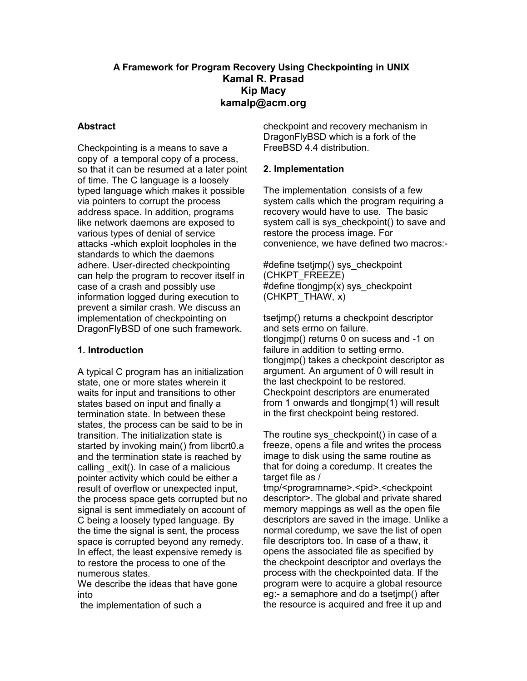### **A Framework for Program Recovery Using Checkpointing in UNIX Kamal R. Prasad Kip Macy kamalp@acm.org**

#### **Abstract**

Checkpointing is a means to save a copy of a temporal copy of a process, so that it can be resumed at a later point of time. The C language is a loosely typed language which makes it possible via pointers to corrupt the process address space. In addition, programs like network daemons are exposed to various types of denial of service attacks -which exploit loopholes in the standards to which the daemons adhere. User-directed checkpointing can help the program to recover itself in case of a crash and possibly use information logged during execution to prevent a similar crash. We discuss an implementation of checkpointing on DragonFlyBSD of one such framework.

#### **1. Introduction**

A typical C program has an initialization state, one or more states wherein it waits for input and transitions to other states based on input and finally a termination state. In between these states, the process can be said to be in transition. The initialization state is started by invoking main() from libcrt0.a and the termination state is reached by calling exit(). In case of a malicious pointer activity which could be either a result of overflow or unexpected input, the process space gets corrupted but no signal is sent immediately on account of C being a loosely typed language. By the time the signal is sent, the process space is corrupted beyond any remedy. In effect, the least expensive remedy is to restore the process to one of the numerous states.

We describe the ideas that have gone into

the implementation of such a

checkpoint and recovery mechanism in DragonFlyBSD which is a fork of the FreeBSD 4.4 distribution.

#### **2. Implementation**

The implementation consists of a few system calls which the program requiring a recovery would have to use. The basic system call is sys checkpoint() to save and restore the process image. For convenience, we have defined two macros:-

#define tsetjmp() sys\_checkpoint (CHKPT\_FREEZE) #define tlongjmp(x) sys\_checkpoint (CHKPT\_THAW, x)

tsetimp() returns a checkpoint descriptor and sets errno on failure. tlongjmp() returns 0 on sucess and -1 on failure in addition to setting errno. tlongjmp() takes a checkpoint descriptor as argument. An argument of 0 will result in the last checkpoint to be restored. Checkpoint descriptors are enumerated from 1 onwards and tlongjmp(1) will result in the first checkpoint being restored.

The routine sys checkpoint() in case of a freeze, opens a file and writes the process image to disk using the same routine as that for doing a coredump. It creates the target file as /

tmp/<programname>.<pid>.<checkpoint descriptor>. The global and private shared memory mappings as well as the open file descriptors are saved in the image. Unlike a normal coredump, we save the list of open file descriptors too. In case of a thaw, it opens the associated file as specified by the checkpoint descriptor and overlays the process with the checkpointed data. If the program were to acquire a global resource eg:- a semaphore and do a tsetjmp() after the resource is acquired and free it up and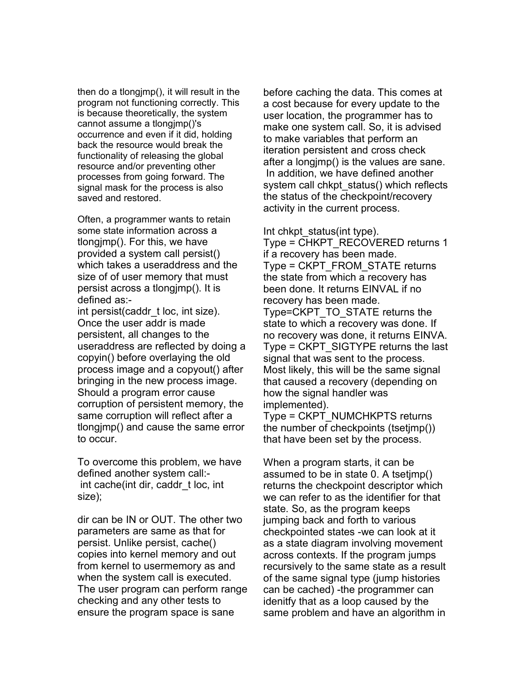then do a tlongjmp(), it will result in the program not functioning correctly. This is because theoretically, the system cannot assume a tlongjmp()'s occurrence and even if it did, holding back the resource would break the functionality of releasing the global resource and/or preventing other processes from going forward. The signal mask for the process is also saved and restored.

Often, a programmer wants to retain some state information across a tlongjmp(). For this, we have provided a system call persist() which takes a useraddress and the size of of user memory that must persist across a tlongjmp(). It is defined as:-

int persist(caddr\_t loc, int size). Once the user addr is made persistent, all changes to the useraddress are reflected by doing a copyin() before overlaying the old process image and a copyout() after bringing in the new process image. Should a program error cause corruption of persistent memory, the same corruption will reflect after a tlongjmp() and cause the same error to occur.

To overcome this problem, we have defined another system call: int cache(int dir, caddr\_t loc, int size);

dir can be IN or OUT. The other two parameters are same as that for persist. Unlike persist, cache() copies into kernel memory and out from kernel to usermemory as and when the system call is executed. The user program can perform range checking and any other tests to ensure the program space is sane

before caching the data. This comes at a cost because for every update to the user location, the programmer has to make one system call. So, it is advised to make variables that perform an iteration persistent and cross check after a longjmp() is the values are sane. In addition, we have defined another system call chkpt status() which reflects the status of the checkpoint/recovery activity in the current process.

Int chkpt status(int type). Type = CHKPT\_RECOVERED returns 1 if a recovery has been made. Type = CKPT\_FROM\_STATE returns the state from which a recovery has been done. It returns EINVAL if no recovery has been made. Type=CKPT\_TO\_STATE returns the state to which a recovery was done. If no recovery was done, it returns EINVA. Type = CKPT\_SIGTYPE returns the last signal that was sent to the process. Most likely, this will be the same signal that caused a recovery (depending on how the signal handler was implemented).

Type = CKPT\_NUMCHKPTS returns the number of checkpoints (tsetjmp()) that have been set by the process.

When a program starts, it can be assumed to be in state 0. A tsetjmp() returns the checkpoint descriptor which we can refer to as the identifier for that state. So, as the program keeps jumping back and forth to various checkpointed states -we can look at it as a state diagram involving movement across contexts. If the program jumps recursively to the same state as a result of the same signal type (jump histories can be cached) -the programmer can idenitfy that as a loop caused by the same problem and have an algorithm in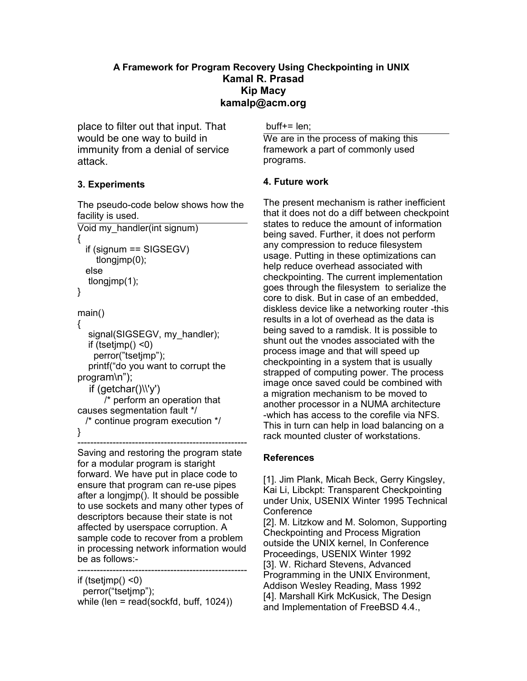### **A Framework for Program Recovery Using Checkpointing in UNIX Kamal R. Prasad Kip Macy kamalp@acm.org**

place to filter out that input. That would be one way to build in immunity from a denial of service attack.

## **3. Experiments**

The pseudo-code below shows how the facility is used.

```
Void my_handler(int signum)
{
 if (signum == SIGSEGV)
     tlongjmp(0);
 else 
  tlongjmp(1);
}
main()
{
  signal(SIGSEGV, my_handler);
  if (tsetimp() <0)
```

```
perror("tsetimp");
  printf("do you want to corrupt the
program\n");
    if (getchar()\\'y')
       /* perform an operation that
causes segmentation fault */
 /* continue program execution */
```
}

Saving and restoring the program state for a modular program is staright forward. We have put in place code to ensure that program can re-use pipes after a longjmp(). It should be possible to use sockets and many other types of descriptors because their state is not affected by userspace corruption. A sample code to recover from a problem in processing network information would be as follows:-

-----------------------------------------------------

---------------------------------------------------- if (tsetjmp() <0) perror("tsetjmp"); while (len = read(sockfd, buff, 1024))

 $buffer = len$ :

We are in the process of making this framework a part of commonly used programs.

## **4. Future work**

The present mechanism is rather inefficient that it does not do a diff between checkpoint states to reduce the amount of information being saved. Further, it does not perform any compression to reduce filesystem usage. Putting in these optimizations can help reduce overhead associated with checkpointing. The current implementation goes through the filesystem to serialize the core to disk. But in case of an embedded, diskless device like a networking router -this results in a lot of overhead as the data is being saved to a ramdisk. It is possible to shunt out the vnodes associated with the process image and that will speed up checkpointing in a system that is usually strapped of computing power. The process image once saved could be combined with a migration mechanism to be moved to another processor in a NUMA architecture -which has access to the corefile via NFS. This in turn can help in load balancing on a rack mounted cluster of workstations.

# **References**

[1]. Jim Plank, Micah Beck, Gerry Kingsley, Kai Li, Libckpt: Transparent Checkpointing under Unix, USENIX Winter 1995 Technical **Conference** 

[2]. M. Litzkow and M. Solomon, Supporting Checkpointing and Process Migration outside the UNIX kernel, In Conference Proceedings, USENIX Winter 1992 [3]. W. Richard Stevens, Advanced Programming in the UNIX Environment, Addison Wesley Reading, Mass 1992 [4]. Marshall Kirk McKusick, The Design and Implementation of FreeBSD 4.4.,